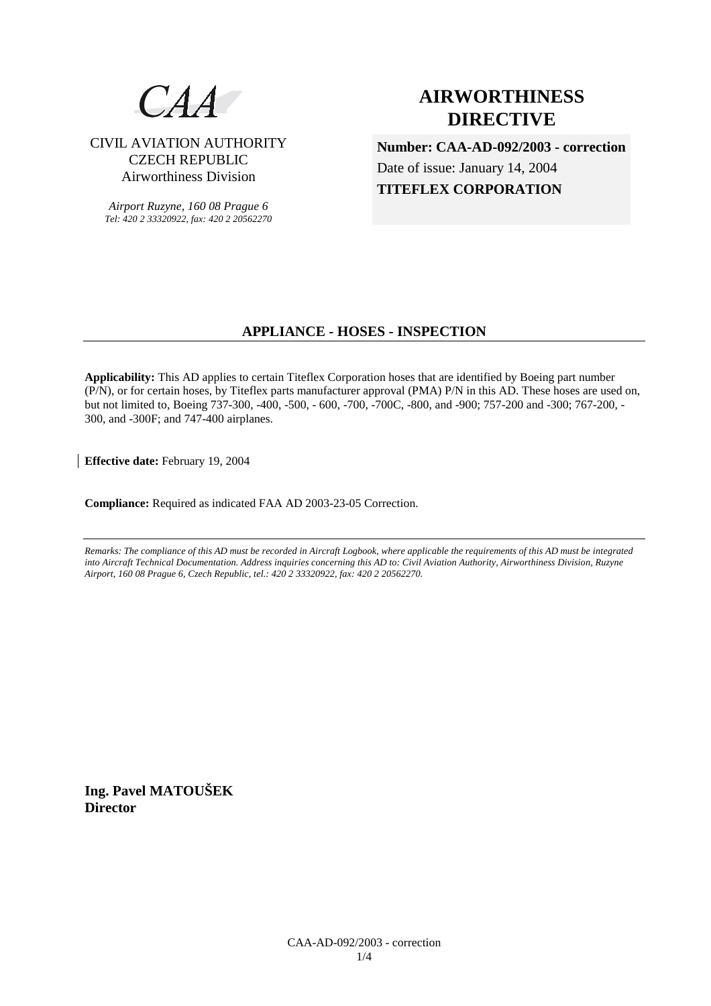

# CIVIL AVIATION AUTHORITY CZECH REPUBLIC Airworthiness Division

*Airport Ruzyne, 160 08 Prague 6 Tel: 420 2 33320922, fax: 420 2 20562270*

# **AIRWORTHINESS DIRECTIVE**

**Number: CAA-AD-092/2003 - correction** Date of issue: January 14, 2004 **TITEFLEX CORPORATION** 

# **APPLIANCE - HOSES - INSPECTION**

**Applicability:** This AD applies to certain Titeflex Corporation hoses that are identified by Boeing part number (P/N), or for certain hoses, by Titeflex parts manufacturer approval (PMA) P/N in this AD. These hoses are used on, but not limited to, Boeing 737-300, -400, -500, - 600, -700, -700C, -800, and -900; 757-200 and -300; 767-200, - 300, and -300F; and 747-400 airplanes.

**Effective date:** February 19, 2004

**Compliance:** Required as indicated FAA AD 2003-23-05 Correction.

*Remarks: The compliance of this AD must be recorded in Aircraft Logbook, where applicable the requirements of this AD must be integrated into Aircraft Technical Documentation. Address inquiries concerning this AD to: Civil Aviation Authority, Airworthiness Division, Ruzyne Airport, 160 08 Prague 6, Czech Republic, tel.: 420 2 33320922, fax: 420 2 20562270.* 

**Ing. Pavel MATOUŠEK Director**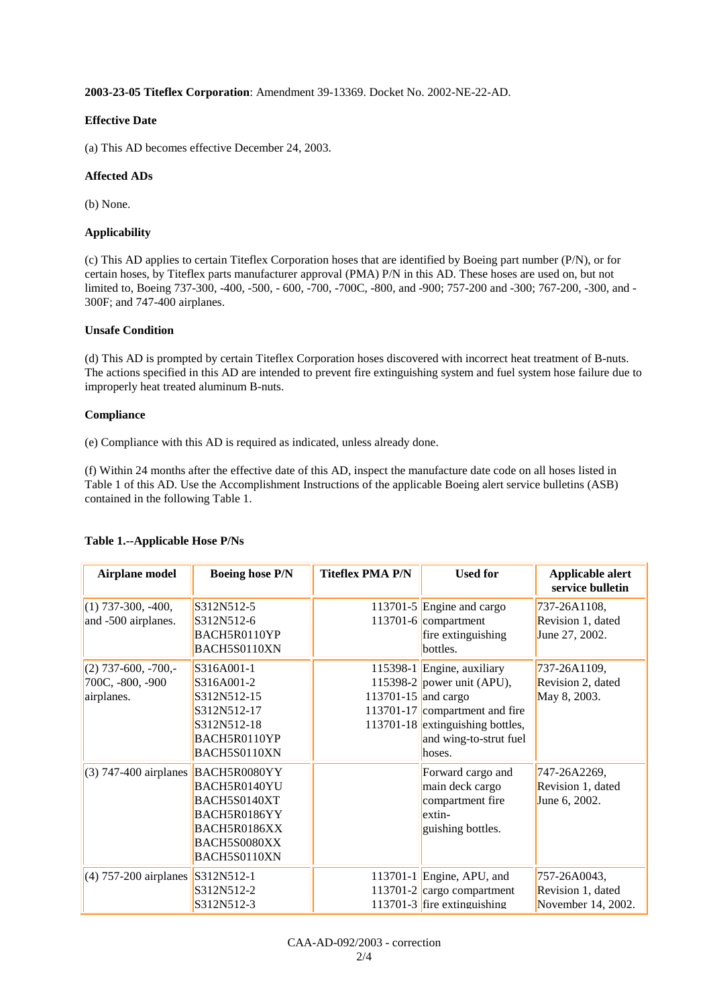**2003-23-05 Titeflex Corporation**: Amendment 39-13369. Docket No. 2002-NE-22-AD.

### **Effective Date**

(a) This AD becomes effective December 24, 2003.

## **Affected ADs**

(b) None.

## **Applicability**

(c) This AD applies to certain Titeflex Corporation hoses that are identified by Boeing part number (P/N), or for certain hoses, by Titeflex parts manufacturer approval (PMA) P/N in this AD. These hoses are used on, but not limited to, Boeing 737-300, -400, -500, - 600, -700, -700C, -800, and -900; 757-200 and -300; 767-200, -300, and - 300F; and 747-400 airplanes.

#### **Unsafe Condition**

(d) This AD is prompted by certain Titeflex Corporation hoses discovered with incorrect heat treatment of B-nuts. The actions specified in this AD are intended to prevent fire extinguishing system and fuel system hose failure due to improperly heat treated aluminum B-nuts.

## **Compliance**

(e) Compliance with this AD is required as indicated, unless already done.

(f) Within 24 months after the effective date of this AD, inspect the manufacture date code on all hoses listed in Table 1 of this AD. Use the Accomplishment Instructions of the applicable Boeing alert service bulletins (ASB) contained in the following Table 1.

| Airplane model                                          | <b>Boeing hose P/N</b>                                                                                       | <b>Titeflex PMA P/N</b> | <b>Used for</b>                                                                                                                                                    | Applicable alert<br>service bulletin                    |
|---------------------------------------------------------|--------------------------------------------------------------------------------------------------------------|-------------------------|--------------------------------------------------------------------------------------------------------------------------------------------------------------------|---------------------------------------------------------|
| $(1)$ 737-300, -400,<br>and -500 airplanes.             | S312N512-5<br>S312N512-6<br>BACH5R0110YP<br>BACH5S0110XN                                                     |                         | 113701-5 Engine and cargo<br>$113701 - 6$ compartment<br>fire extinguishing<br>bottles.                                                                            | 737-26A1108,<br>Revision 1, dated<br>June 27, 2002.     |
| $(2)$ 737-600, -700,-<br>700C, -800, -900<br>airplanes. | S316A001-1<br>S316A001-2<br>S312N512-15<br>S312N512-17<br>S312N512-18<br>BACH5R0110YP<br>BACH5S0110XN        | 113701-15 and cargo     | 115398-1 Engine, auxiliary<br>115398-2 power unit (APU),<br>113701-17 compartment and fire<br>113701-18 extinguishing bottles,<br>and wing-to-strut fuel<br>hoses. | 737-26A1109,<br>Revision 2, dated<br>May 8, 2003.       |
| $(3)$ 747-400 airplanes                                 | BACH5R0080YY<br>BACH5R0140YU<br>BACH5S0140XT<br>BACH5R0186YY<br>BACH5R0186XX<br>BACH5S0080XX<br>BACH5S0110XN |                         | Forward cargo and<br>main deck cargo<br>compartment fire<br>extin-<br>guishing bottles.                                                                            | 747-26A2269,<br>Revision 1, dated<br>June 6, 2002.      |
| $(4)$ 757-200 airplanes                                 | S312N512-1<br>S312N512-2<br>S312N512-3                                                                       |                         | 113701-1 Engine, APU, and<br>113701-2 cargo compartment<br>113701-3  fire extinguishing                                                                            | 757-26A0043,<br>Revision 1, dated<br>November 14, 2002. |

## **Table 1.--Applicable Hose P/Ns**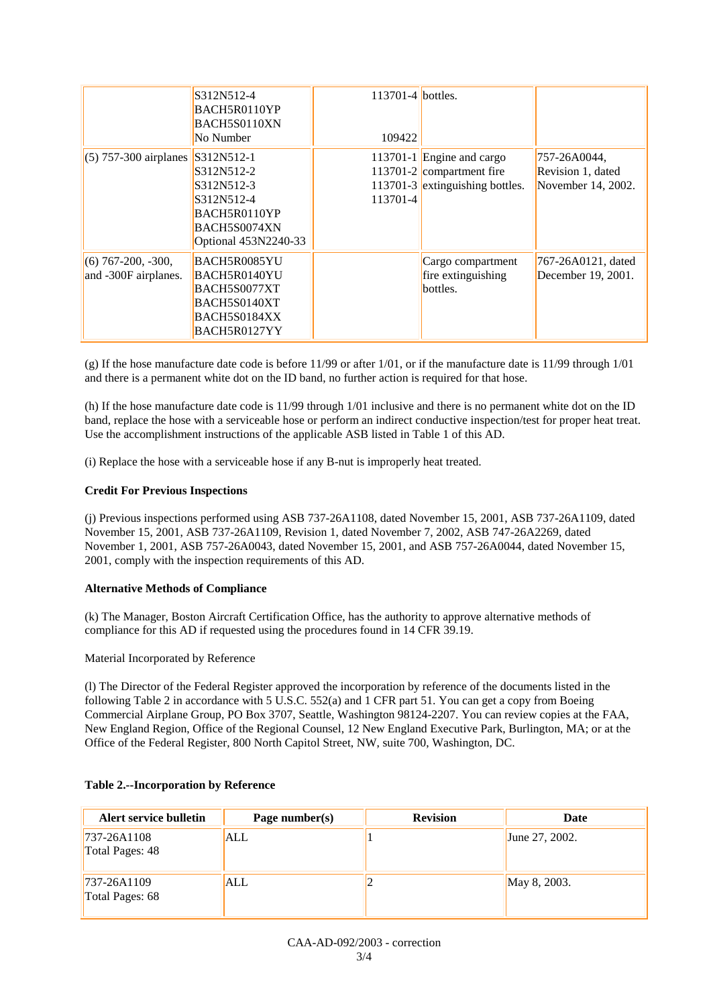|                                              | S312N512-4<br>BACH5R0110YP<br>BACH5S0110XN<br>No Number                                                      | 113701-4 bottles.<br>109422 |                                                                                           |                                                         |
|----------------------------------------------|--------------------------------------------------------------------------------------------------------------|-----------------------------|-------------------------------------------------------------------------------------------|---------------------------------------------------------|
| $(5)$ 757-300 airplanes                      | S312N512-1<br>S312N512-2<br>S312N512-3<br>S312N512-4<br>BACH5R0110YP<br>BACH5S0074XN<br>Optional 453N2240-33 | 113701-4                    | 113701-1 Engine and cargo<br>113701-2 compartment fire<br>113701-3 extinguishing bottles. | 757-26A0044,<br>Revision 1, dated<br>November 14, 2002. |
| $(6)$ 767-200, -300,<br>and -300F airplanes. | BACH5R0085YU<br>BACH5R0140YU<br>BACH5S0077XT<br>BACH5S0140XT<br>BACH5S0184XX<br>BACH5R0127YY                 |                             | Cargo compartment<br>fire extinguishing<br>bottles.                                       | 767-26A0121, dated<br>December 19, 2001.                |

(g) If the hose manufacture date code is before  $11/99$  or after  $1/01$ , or if the manufacture date is  $11/99$  through  $1/01$ and there is a permanent white dot on the ID band, no further action is required for that hose.

(h) If the hose manufacture date code is 11/99 through 1/01 inclusive and there is no permanent white dot on the ID band, replace the hose with a serviceable hose or perform an indirect conductive inspection/test for proper heat treat. Use the accomplishment instructions of the applicable ASB listed in Table 1 of this AD.

(i) Replace the hose with a serviceable hose if any B-nut is improperly heat treated.

## **Credit For Previous Inspections**

(j) Previous inspections performed using ASB 737-26A1108, dated November 15, 2001, ASB 737-26A1109, dated November 15, 2001, ASB 737-26A1109, Revision 1, dated November 7, 2002, ASB 747-26A2269, dated November 1, 2001, ASB 757-26A0043, dated November 15, 2001, and ASB 757-26A0044, dated November 15, 2001, comply with the inspection requirements of this AD.

#### **Alternative Methods of Compliance**

(k) The Manager, Boston Aircraft Certification Office, has the authority to approve alternative methods of compliance for this AD if requested using the procedures found in 14 CFR 39.19.

#### Material Incorporated by Reference

(l) The Director of the Federal Register approved the incorporation by reference of the documents listed in the following Table 2 in accordance with 5 U.S.C. 552(a) and 1 CFR part 51. You can get a copy from Boeing Commercial Airplane Group, PO Box 3707, Seattle, Washington 98124-2207. You can review copies at the FAA, New England Region, Office of the Regional Counsel, 12 New England Executive Park, Burlington, MA; or at the Office of the Federal Register, 800 North Capitol Street, NW, suite 700, Washington, DC.

| Alert service bulletin         | Page number(s) | <b>Revision</b> | Date           |
|--------------------------------|----------------|-----------------|----------------|
| 737-26A1108<br>Total Pages: 48 | ALL            |                 | June 27, 2002. |
| 737-26A1109<br>Total Pages: 68 | ALL            |                 | May 8, 2003.   |

#### **Table 2.--Incorporation by Reference**